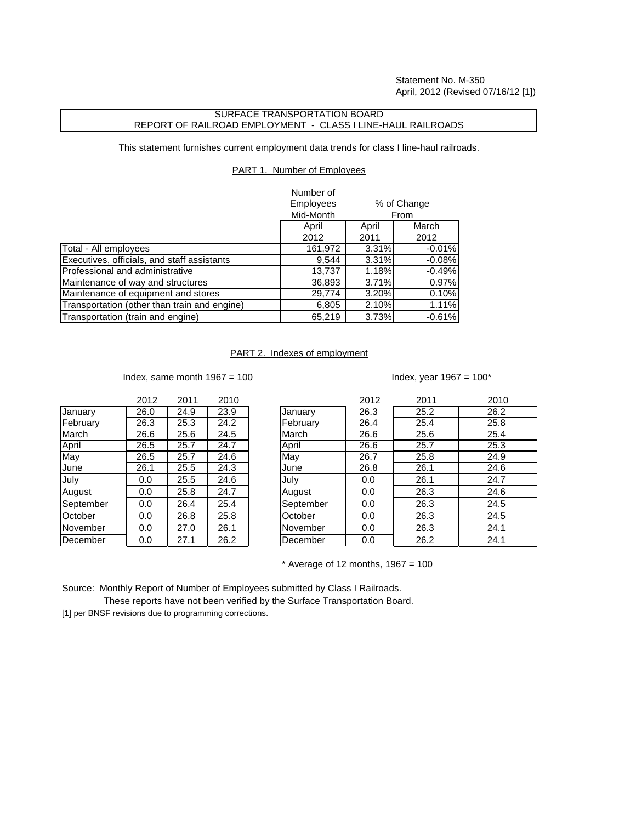## SURFACE TRANSPORTATION BOARD REPORT OF RAILROAD EMPLOYMENT - CLASS I LINE-HAUL RAILROADS

This statement furnishes current employment data trends for class I line-haul railroads.

## PART 1. Number of Employees

|                                              | Number of                       |             |          |
|----------------------------------------------|---------------------------------|-------------|----------|
|                                              | <b>Employees</b><br>% of Change |             |          |
|                                              | Mid-Month                       | <b>From</b> |          |
|                                              | April                           | April       | March    |
|                                              | 2012                            | 2011        | 2012     |
| Total - All employees                        | 161,972                         | 3.31%       | $-0.01%$ |
| Executives, officials, and staff assistants  | 9,544                           | $3.31\%$    | $-0.08%$ |
| Professional and administrative              | 13,737                          | 1.18%       | $-0.49%$ |
| Maintenance of way and structures            | 36,893                          | 3.71%       | 0.97%    |
| Maintenance of equipment and stores          | 29,774                          | 3.20%       | 0.10%    |
| Transportation (other than train and engine) | 6,805                           | 2.10%       | 1.11%    |
| Transportation (train and engine)            | 65,219                          | 3.73%       | $-0.61%$ |

## PART 2. Indexes of employment

Index, same month  $1967 = 100$  Index, year  $1967 = 100^*$ 

| 26.0 |      |      |
|------|------|------|
|      | 24.9 | 23.9 |
| 26.3 | 25.3 | 24.2 |
| 26.6 | 25.6 | 24.5 |
| 26.5 | 25.7 | 24.7 |
| 26.5 | 25.7 | 24.6 |
| 26.1 | 25.5 | 24.3 |
| 0.0  | 25.5 | 24.6 |
| 0.0  | 25.8 | 24.7 |
| 0.0  | 26.4 | 25.4 |
| 0.0  | 26.8 | 25.8 |
| 0.0  | 27.0 | 26.1 |
| 0.0  | 27.1 | 26.2 |
|      |      |      |

|           | 2012 | 2011 | 2010 |           | 2012 | 2011 | 2010 |
|-----------|------|------|------|-----------|------|------|------|
| January   | 26.0 | 24.9 | 23.9 | January   | 26.3 | 25.2 | 26.2 |
| February  | 26.3 | 25.3 | 24.2 | February  | 26.4 | 25.4 | 25.8 |
| March     | 26.6 | 25.6 | 24.5 | March     | 26.6 | 25.6 | 25.4 |
| April     | 26.5 | 25.7 | 24.7 | April     | 26.6 | 25.7 | 25.3 |
| May       | 26.5 | 25.7 | 24.6 | May       | 26.7 | 25.8 | 24.9 |
| June      | 26.1 | 25.5 | 24.3 | June      | 26.8 | 26.1 | 24.6 |
| July      | 0.0  | 25.5 | 24.6 | July      | 0.0  | 26.1 | 24.7 |
| August    | 0.0  | 25.8 | 24.7 | August    | 0.0  | 26.3 | 24.6 |
| September | 0.0  | 26.4 | 25.4 | September | 0.0  | 26.3 | 24.5 |
| October   | 0.0  | 26.8 | 25.8 | October   | 0.0  | 26.3 | 24.5 |
| November  | 0.0  | 27.0 | 26.1 | November  | 0.0  | 26.3 | 24.1 |
| December  | 0.0  | 27.1 | 26.2 | December  | 0.0  | 26.2 | 24.1 |

 $*$  Average of 12 months, 1967 = 100

Source: Monthly Report of Number of Employees submitted by Class I Railroads.

 These reports have not been verified by the Surface Transportation Board. [1] per BNSF revisions due to programming corrections.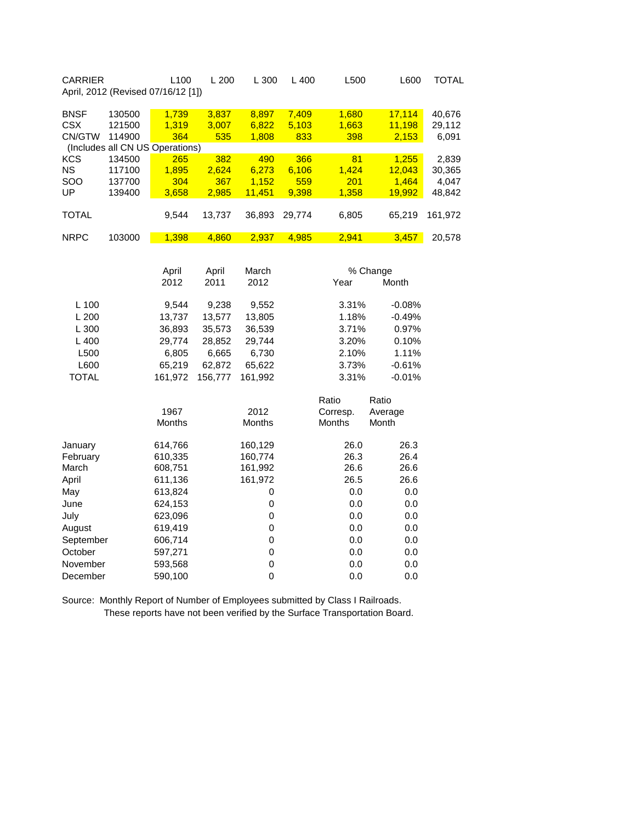| <b>CARRIER</b>                      | April, 2012 (Revised 07/16/12 [1]) | L100                  | L 200                 | L 300                   | L 400                 | L500                  | L600                      | <b>TOTAL</b>              |
|-------------------------------------|------------------------------------|-----------------------|-----------------------|-------------------------|-----------------------|-----------------------|---------------------------|---------------------------|
| <b>BNSF</b><br><b>CSX</b><br>CN/GTW | 130500<br>121500<br>114900         | 1,739<br>1,319<br>364 | 3,837<br>3,007<br>535 | 8,897<br>6,822<br>1,808 | 7,409<br>5,103<br>833 | 1,680<br>1,663<br>398 | 17,114<br>11,198<br>2,153 | 40,676<br>29,112<br>6,091 |
|                                     | (Includes all CN US Operations)    |                       |                       |                         |                       |                       |                           |                           |
| <b>KCS</b>                          | 134500                             | 265                   | 382                   | 490                     | 366                   | 81                    | 1,255                     | 2,839                     |
| <b>NS</b>                           | 117100                             | 1,895                 | 2,624                 | 6,273                   | 6,106                 | 1,424                 | 12,043                    | 30,365                    |
| SOO                                 | 137700                             | 304                   | 367                   | 1,152                   | 559                   | 201                   | 1,464                     | 4,047                     |
| UP                                  | 139400                             | 3,658                 | 2,985                 | 11,451                  | 9,398                 | 1,358                 | 19,992                    | 48,842                    |
| <b>TOTAL</b>                        |                                    | 9,544                 | 13,737                | 36,893                  | 29,774                | 6,805                 | 65,219                    | 161,972                   |
| <b>NRPC</b>                         | 103000                             | 1,398                 | 4,860                 | 2,937                   | 4,985                 | 2,941                 | 3,457                     | 20,578                    |
|                                     |                                    |                       |                       |                         |                       |                       |                           |                           |
|                                     |                                    | April                 | April                 | March                   |                       |                       | % Change                  |                           |
|                                     |                                    | 2012                  | 2011                  | 2012                    |                       | Year                  | Month                     |                           |
|                                     |                                    |                       |                       |                         |                       |                       |                           |                           |
| L 100                               |                                    | 9,544                 | 9,238                 | 9,552                   |                       | 3.31%                 | $-0.08%$                  |                           |
| L 200                               |                                    | 13,737                | 13,577                | 13,805                  |                       | 1.18%                 | $-0.49%$                  |                           |
| L 300                               |                                    | 36,893                | 35,573                | 36,539                  |                       | 3.71%                 | 0.97%                     |                           |
| L400                                |                                    | 29,774                | 28,852                | 29,744                  |                       | 3.20%                 | 0.10%                     |                           |
| L500                                |                                    | 6,805                 | 6,665                 | 6,730                   |                       | 2.10%                 | 1.11%                     |                           |
| L600                                |                                    | 65,219                | 62,872                | 65,622                  |                       | 3.73%                 | $-0.61%$                  |                           |
| <b>TOTAL</b>                        |                                    | 161,972               | 156,777               | 161,992                 |                       | 3.31%                 | $-0.01%$                  |                           |
|                                     |                                    |                       |                       |                         |                       |                       |                           |                           |
|                                     |                                    |                       |                       |                         |                       | Ratio                 | Ratio                     |                           |
|                                     |                                    | 1967                  |                       | 2012                    |                       | Corresp.              | Average                   |                           |
|                                     |                                    | Months                |                       | Months                  |                       | <b>Months</b>         | Month                     |                           |
| January                             |                                    | 614,766               |                       | 160,129                 |                       | 26.0                  | 26.3                      |                           |
| February                            |                                    | 610,335               |                       | 160,774                 |                       | 26.3                  | 26.4                      |                           |
| March                               |                                    | 608,751               |                       | 161,992                 |                       | 26.6                  | 26.6                      |                           |
| April                               |                                    | 611,136               |                       | 161,972                 |                       | 26.5                  | 26.6                      |                           |
| May                                 |                                    | 613,824               |                       | 0                       |                       | 0.0                   | 0.0                       |                           |
| June                                |                                    | 624,153               |                       | $\mathbf 0$             |                       | 0.0                   | 0.0                       |                           |
| July                                |                                    | 623,096               |                       | $\mathbf 0$             |                       | 0.0                   | 0.0                       |                           |
| August                              |                                    | 619,419               |                       | 0                       |                       | 0.0                   | 0.0                       |                           |
| September                           |                                    | 606,714               |                       | $\mathsf 0$             |                       | 0.0                   | 0.0                       |                           |
| October                             |                                    | 597,271               |                       | $\mathbf 0$             |                       | 0.0                   | 0.0                       |                           |
| November                            |                                    | 593,568               |                       | $\mathsf 0$             |                       | 0.0                   | 0.0                       |                           |
| December                            |                                    | 590,100               |                       | $\mathbf 0$             |                       | 0.0                   | 0.0                       |                           |
|                                     |                                    |                       |                       |                         |                       |                       |                           |                           |

Source: Monthly Report of Number of Employees submitted by Class I Railroads. These reports have not been verified by the Surface Transportation Board.